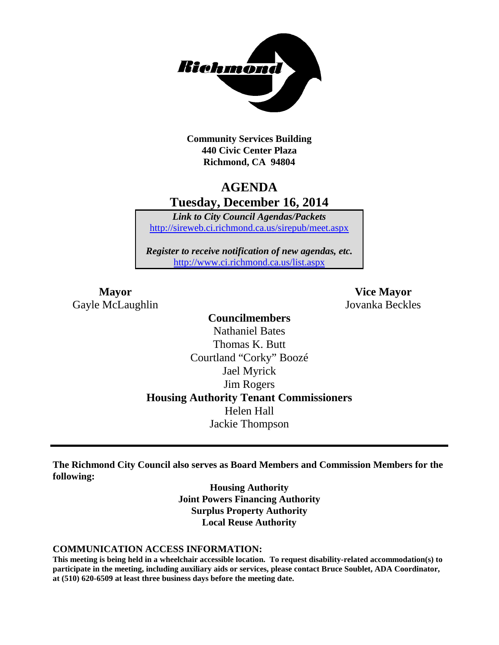

**Community Services Building 440 Civic Center Plaza Richmond, CA 94804**

# **AGENDA Tuesday, December 16, 2014**

*Link to City Council Agendas/Packets* <http://sireweb.ci.richmond.ca.us/sirepub/meet.aspx>

*Register to receive notification of new agendas, etc.* <http://www.ci.richmond.ca.us/list.aspx>

Gayle McLaughlin Jovanka Beckles

**Mayor Vice Mayor**

**Councilmembers** Nathaniel Bates Thomas K. Butt Courtland "Corky" Boozé Jael Myrick Jim Rogers **Housing Authority Tenant Commissioners** Helen Hall Jackie Thompson

**The Richmond City Council also serves as Board Members and Commission Members for the following:**

> **Housing Authority Joint Powers Financing Authority Surplus Property Authority Local Reuse Authority**

#### **COMMUNICATION ACCESS INFORMATION:**

**This meeting is being held in a wheelchair accessible location. To request disability-related accommodation(s) to participate in the meeting, including auxiliary aids or services, please contact Bruce Soublet, ADA Coordinator, at (510) 620-6509 at least three business days before the meeting date.**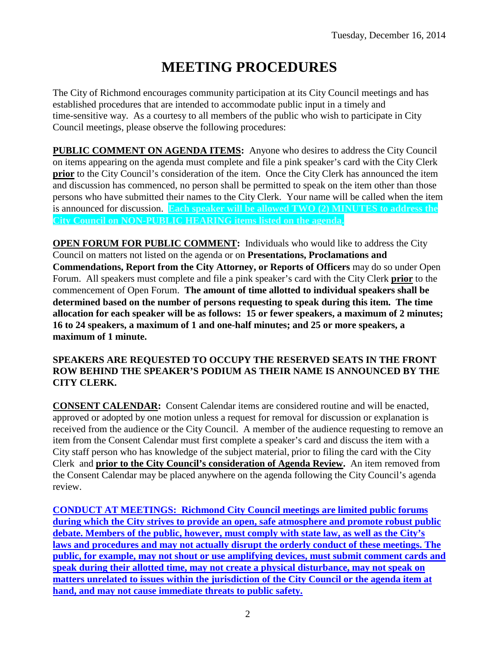# **MEETING PROCEDURES**

The City of Richmond encourages community participation at its City Council meetings and has established procedures that are intended to accommodate public input in a timely and time-sensitive way. As a courtesy to all members of the public who wish to participate in City Council meetings, please observe the following procedures:

**PUBLIC COMMENT ON AGENDA ITEMS:** Anyone who desires to address the City Council on items appearing on the agenda must complete and file a pink speaker's card with the City Clerk **prior** to the City Council's consideration of the item. Once the City Clerk has announced the item and discussion has commenced, no person shall be permitted to speak on the item other than those persons who have submitted their names to the City Clerk. Your name will be called when the item is announced for discussion. **Each speaker will be allowed TWO (2) MINUTES to address the City Council on NON-PUBLIC HEARING items listed on the agenda.**

**OPEN FORUM FOR PUBLIC COMMENT:** Individuals who would like to address the City Council on matters not listed on the agenda or on **Presentations, Proclamations and Commendations, Report from the City Attorney, or Reports of Officers** may do so under Open Forum. All speakers must complete and file a pink speaker's card with the City Clerk **prior** to the commencement of Open Forum. **The amount of time allotted to individual speakers shall be determined based on the number of persons requesting to speak during this item. The time allocation for each speaker will be as follows: 15 or fewer speakers, a maximum of 2 minutes; 16 to 24 speakers, a maximum of 1 and one-half minutes; and 25 or more speakers, a maximum of 1 minute.**

### **SPEAKERS ARE REQUESTED TO OCCUPY THE RESERVED SEATS IN THE FRONT ROW BEHIND THE SPEAKER'S PODIUM AS THEIR NAME IS ANNOUNCED BY THE CITY CLERK.**

**CONSENT CALENDAR:** Consent Calendar items are considered routine and will be enacted, approved or adopted by one motion unless a request for removal for discussion or explanation is received from the audience or the City Council. A member of the audience requesting to remove an item from the Consent Calendar must first complete a speaker's card and discuss the item with a City staff person who has knowledge of the subject material, prior to filing the card with the City Clerk and **prior to the City Council's consideration of Agenda Review.** An item removed from the Consent Calendar may be placed anywhere on the agenda following the City Council's agenda review.

**CONDUCT AT MEETINGS: Richmond City Council meetings are limited public forums during which the City strives to provide an open, safe atmosphere and promote robust public debate. Members of the public, however, must comply with state law, as well as the City's laws and procedures and may not actually disrupt the orderly conduct of these meetings. The public, for example, may not shout or use amplifying devices, must submit comment cards and speak during their allotted time, may not create a physical disturbance, may not speak on matters unrelated to issues within the jurisdiction of the City Council or the agenda item at hand, and may not cause immediate threats to public safety.**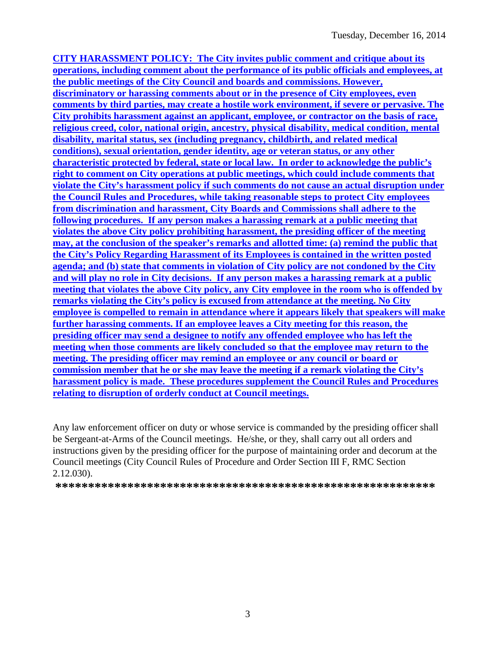**CITY HARASSMENT POLICY: The City invites public comment and critique about its operations, including comment about the performance of its public officials and employees, at the public meetings of the City Council and boards and commissions. However, discriminatory or harassing comments about or in the presence of City employees, even comments by third parties, may create a hostile work environment, if severe or pervasive. The City prohibits harassment against an applicant, employee, or contractor on the basis of race, religious creed, color, national origin, ancestry, physical disability, medical condition, mental disability, marital status, sex (including pregnancy, childbirth, and related medical conditions), sexual orientation, gender identity, age or veteran status, or any other characteristic protected by federal, state or local law. In order to acknowledge the public's right to comment on City operations at public meetings, which could include comments that violate the City's harassment policy if such comments do not cause an actual disruption under the Council Rules and Procedures, while taking reasonable steps to protect City employees from discrimination and harassment, City Boards and Commissions shall adhere to the following procedures. If any person makes a harassing remark at a public meeting that violates the above City policy prohibiting harassment, the presiding officer of the meeting may, at the conclusion of the speaker's remarks and allotted time: (a) remind the public that the City's Policy Regarding Harassment of its Employees is contained in the written posted agenda; and (b) state that comments in violation of City policy are not condoned by the City and will play no role in City decisions. If any person makes a harassing remark at a public meeting that violates the above City policy, any City employee in the room who is offended by remarks violating the City's policy is excused from attendance at the meeting. No City employee is compelled to remain in attendance where it appears likely that speakers will make further harassing comments. If an employee leaves a City meeting for this reason, the presiding officer may send a designee to notify any offended employee who has left the meeting when those comments are likely concluded so that the employee may return to the meeting. The presiding officer may remind an employee or any council or board or commission member that he or she may leave the meeting if a remark violating the City's harassment policy is made. These procedures supplement the Council Rules and Procedures relating to disruption of orderly conduct at Council meetings.**

Any law enforcement officer on duty or whose service is commanded by the presiding officer shall be Sergeant-at-Arms of the Council meetings. He/she, or they, shall carry out all orders and instructions given by the presiding officer for the purpose of maintaining order and decorum at the Council meetings (City Council Rules of Procedure and Order Section III F, RMC Section 2.12.030).

**\*\*\*\*\*\*\*\*\*\*\*\*\*\*\*\*\*\*\*\*\*\*\*\*\*\*\*\*\*\*\*\*\*\*\*\*\*\*\*\*\*\*\*\*\*\*\*\*\*\*\*\*\*\*\*\*\*\***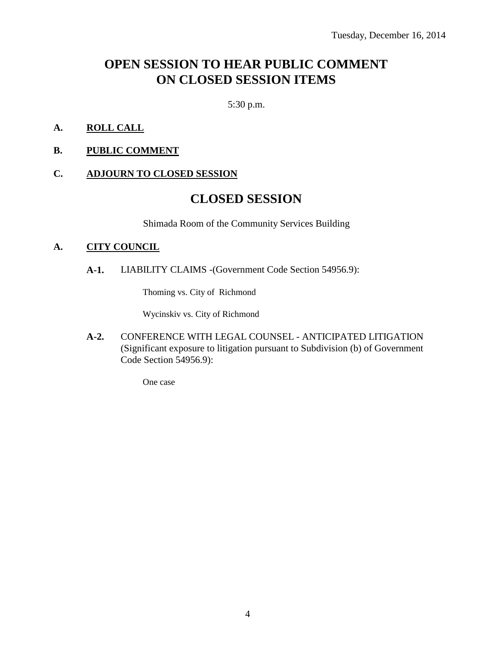# **OPEN SESSION TO HEAR PUBLIC COMMENT ON CLOSED SESSION ITEMS**

5:30 p.m.

- **A. ROLL CALL**
- **B. PUBLIC COMMENT**

#### **C. ADJOURN TO CLOSED SESSION**

# **CLOSED SESSION**

Shimada Room of the Community Services Building

#### **A. CITY COUNCIL**

**A-1.** LIABILITY CLAIMS -(Government Code Section 54956.9):

Thoming vs. City of Richmond

Wycinskiv vs. City of Richmond

**A-2.** CONFERENCE WITH LEGAL COUNSEL - ANTICIPATED LITIGATION (Significant exposure to litigation pursuant to Subdivision (b) of Government Code Section 54956.9):

One case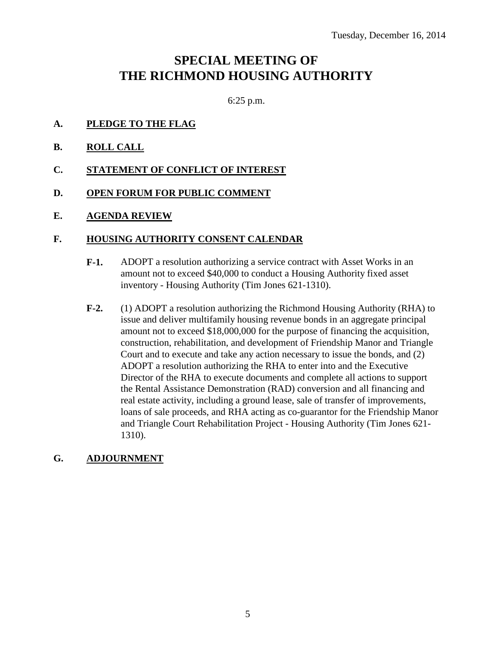# **SPECIAL MEETING OF THE RICHMOND HOUSING AUTHORITY**

6:25 p.m.

- **A. PLEDGE TO THE FLAG**
- **B. ROLL CALL**
- **C. STATEMENT OF CONFLICT OF INTEREST**
- **D. OPEN FORUM FOR PUBLIC COMMENT**
- **E. AGENDA REVIEW**

#### **F. HOUSING AUTHORITY CONSENT CALENDAR**

- **F-1.** ADOPT a resolution authorizing a service contract with Asset Works in an amount not to exceed \$40,000 to conduct a Housing Authority fixed asset inventory - Housing Authority (Tim Jones 621-1310).
- **F-2.** (1) ADOPT a resolution authorizing the Richmond Housing Authority (RHA) to issue and deliver multifamily housing revenue bonds in an aggregate principal amount not to exceed \$18,000,000 for the purpose of financing the acquisition, construction, rehabilitation, and development of Friendship Manor and Triangle Court and to execute and take any action necessary to issue the bonds, and (2) ADOPT a resolution authorizing the RHA to enter into and the Executive Director of the RHA to execute documents and complete all actions to support the Rental Assistance Demonstration (RAD) conversion and all financing and real estate activity, including a ground lease, sale of transfer of improvements, loans of sale proceeds, and RHA acting as co-guarantor for the Friendship Manor and Triangle Court Rehabilitation Project - Housing Authority (Tim Jones 621- 1310).

### **G. ADJOURNMENT**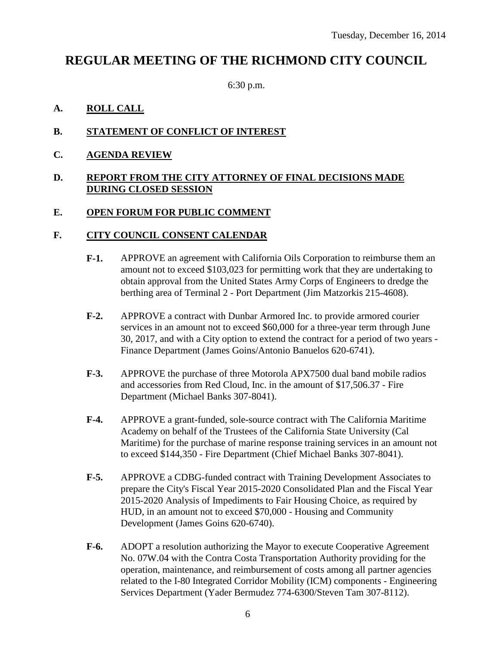# **REGULAR MEETING OF THE RICHMOND CITY COUNCIL**

6:30 p.m.

# **A. ROLL CALL**

# **B. STATEMENT OF CONFLICT OF INTEREST**

**C. AGENDA REVIEW**

### **D. REPORT FROM THE CITY ATTORNEY OF FINAL DECISIONS MADE DURING CLOSED SESSION**

### **E. OPEN FORUM FOR PUBLIC COMMENT**

## **F. CITY COUNCIL CONSENT CALENDAR**

- **F-1.** APPROVE an agreement with California Oils Corporation to reimburse them an amount not to exceed \$103,023 for permitting work that they are undertaking to obtain approval from the United States Army Corps of Engineers to dredge the berthing area of Terminal 2 - Port Department (Jim Matzorkis 215-4608).
- **F-2.** APPROVE a contract with Dunbar Armored Inc. to provide armored courier services in an amount not to exceed \$60,000 for a three-year term through June 30, 2017, and with a City option to extend the contract for a period of two years - Finance Department (James Goins/Antonio Banuelos 620-6741).
- **F-3.** APPROVE the purchase of three Motorola APX7500 dual band mobile radios and accessories from Red Cloud, Inc. in the amount of \$17,506.37 - Fire Department (Michael Banks 307-8041).
- **F-4.** APPROVE a grant-funded, sole-source contract with The California Maritime Academy on behalf of the Trustees of the California State University (Cal Maritime) for the purchase of marine response training services in an amount not to exceed \$144,350 - Fire Department (Chief Michael Banks 307-8041).
- **F-5.** APPROVE a CDBG-funded contract with Training Development Associates to prepare the City's Fiscal Year 2015-2020 Consolidated Plan and the Fiscal Year 2015-2020 Analysis of Impediments to Fair Housing Choice, as required by HUD, in an amount not to exceed \$70,000 - Housing and Community Development (James Goins 620-6740).
- **F-6.** ADOPT a resolution authorizing the Mayor to execute Cooperative Agreement No. 07W.04 with the Contra Costa Transportation Authority providing for the operation, maintenance, and reimbursement of costs among all partner agencies related to the I-80 Integrated Corridor Mobility (ICM) components - Engineering Services Department (Yader Bermudez 774-6300/Steven Tam 307-8112).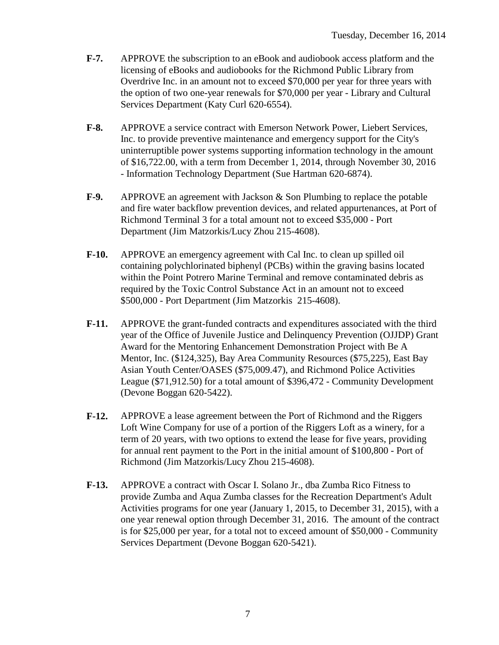- **F-7.** APPROVE the subscription to an eBook and audiobook access platform and the licensing of eBooks and audiobooks for the Richmond Public Library from Overdrive Inc. in an amount not to exceed \$70,000 per year for three years with the option of two one-year renewals for \$70,000 per year - Library and Cultural Services Department (Katy Curl 620-6554).
- **F-8.** APPROVE a service contract with Emerson Network Power, Liebert Services, Inc. to provide preventive maintenance and emergency support for the City's uninterruptible power systems supporting information technology in the amount of \$16,722.00, with a term from December 1, 2014, through November 30, 2016 - Information Technology Department (Sue Hartman 620-6874).
- **F-9.** APPROVE an agreement with Jackson & Son Plumbing to replace the potable and fire water backflow prevention devices, and related appurtenances, at Port of Richmond Terminal 3 for a total amount not to exceed \$35,000 - Port Department (Jim Matzorkis/Lucy Zhou 215-4608).
- **F-10.** APPROVE an emergency agreement with Cal Inc. to clean up spilled oil containing polychlorinated biphenyl (PCBs) within the graving basins located within the Point Potrero Marine Terminal and remove contaminated debris as required by the Toxic Control Substance Act in an amount not to exceed \$500,000 - Port Department (Jim Matzorkis 215-4608).
- **F-11.** APPROVE the grant-funded contracts and expenditures associated with the third year of the Office of Juvenile Justice and Delinquency Prevention (OJJDP) Grant Award for the Mentoring Enhancement Demonstration Project with Be A Mentor, Inc. (\$124,325), Bay Area Community Resources (\$75,225), East Bay Asian Youth Center/OASES (\$75,009.47), and Richmond Police Activities League (\$71,912.50) for a total amount of \$396,472 - Community Development (Devone Boggan 620-5422).
- **F-12.** APPROVE a lease agreement between the Port of Richmond and the Riggers Loft Wine Company for use of a portion of the Riggers Loft as a winery, for a term of 20 years, with two options to extend the lease for five years, providing for annual rent payment to the Port in the initial amount of \$100,800 - Port of Richmond (Jim Matzorkis/Lucy Zhou 215-4608).
- **F-13.** APPROVE a contract with Oscar I. Solano Jr., dba Zumba Rico Fitness to provide Zumba and Aqua Zumba classes for the Recreation Department's Adult Activities programs for one year (January 1, 2015, to December 31, 2015), with a one year renewal option through December 31, 2016. The amount of the contract is for \$25,000 per year, for a total not to exceed amount of \$50,000 - Community Services Department (Devone Boggan 620-5421).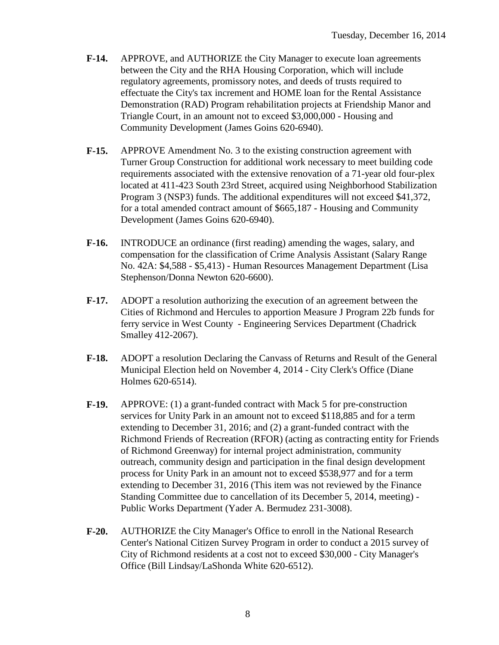- **F-14.** APPROVE, and AUTHORIZE the City Manager to execute loan agreements between the City and the RHA Housing Corporation, which will include regulatory agreements, promissory notes, and deeds of trusts required to effectuate the City's tax increment and HOME loan for the Rental Assistance Demonstration (RAD) Program rehabilitation projects at Friendship Manor and Triangle Court, in an amount not to exceed \$3,000,000 - Housing and Community Development (James Goins 620-6940).
- **F-15.** APPROVE Amendment No. 3 to the existing construction agreement with Turner Group Construction for additional work necessary to meet building code requirements associated with the extensive renovation of a 71-year old four-plex located at 411-423 South 23rd Street, acquired using Neighborhood Stabilization Program 3 (NSP3) funds. The additional expenditures will not exceed \$41,372, for a total amended contract amount of \$665,187 - Housing and Community Development (James Goins 620-6940).
- **F-16.** INTRODUCE an ordinance (first reading) amending the wages, salary, and compensation for the classification of Crime Analysis Assistant (Salary Range No. 42A: \$4,588 - \$5,413) - Human Resources Management Department (Lisa Stephenson/Donna Newton 620-6600).
- **F-17.** ADOPT a resolution authorizing the execution of an agreement between the Cities of Richmond and Hercules to apportion Measure J Program 22b funds for ferry service in West County - Engineering Services Department (Chadrick Smalley 412-2067).
- **F-18.** ADOPT a resolution Declaring the Canvass of Returns and Result of the General Municipal Election held on November 4, 2014 - City Clerk's Office (Diane Holmes 620-6514).
- **F-19.** APPROVE: (1) a grant-funded contract with Mack 5 for pre-construction services for Unity Park in an amount not to exceed \$118,885 and for a term extending to December 31, 2016; and (2) a grant-funded contract with the Richmond Friends of Recreation (RFOR) (acting as contracting entity for Friends of Richmond Greenway) for internal project administration, community outreach, community design and participation in the final design development process for Unity Park in an amount not to exceed \$538,977 and for a term extending to December 31, 2016 (This item was not reviewed by the Finance Standing Committee due to cancellation of its December 5, 2014, meeting) - Public Works Department (Yader A. Bermudez 231-3008).
- **F-20.** AUTHORIZE the City Manager's Office to enroll in the National Research Center's National Citizen Survey Program in order to conduct a 2015 survey of City of Richmond residents at a cost not to exceed \$30,000 - City Manager's Office (Bill Lindsay/LaShonda White 620-6512).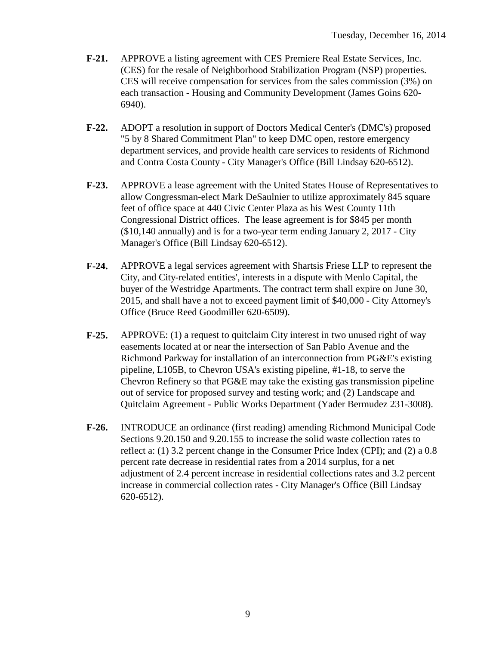- **F-21.** APPROVE a listing agreement with CES Premiere Real Estate Services, Inc. (CES) for the resale of Neighborhood Stabilization Program (NSP) properties. CES will receive compensation for services from the sales commission (3%) on each transaction - Housing and Community Development (James Goins 620- 6940).
- **F-22.** ADOPT a resolution in support of Doctors Medical Center's (DMC's) proposed "5 by 8 Shared Commitment Plan" to keep DMC open, restore emergency department services, and provide health care services to residents of Richmond and Contra Costa County - City Manager's Office (Bill Lindsay 620-6512).
- **F-23.** APPROVE a lease agreement with the United States House of Representatives to allow Congressman-elect Mark DeSaulnier to utilize approximately 845 square feet of office space at 440 Civic Center Plaza as his West County 11th Congressional District offices. The lease agreement is for \$845 per month (\$10,140 annually) and is for a two-year term ending January 2, 2017 - City Manager's Office (Bill Lindsay 620-6512).
- **F-24.** APPROVE a legal services agreement with Shartsis Friese LLP to represent the City, and City-related entities', interests in a dispute with Menlo Capital, the buyer of the Westridge Apartments. The contract term shall expire on June 30, 2015, and shall have a not to exceed payment limit of \$40,000 - City Attorney's Office (Bruce Reed Goodmiller 620-6509).
- **F-25.** APPROVE: (1) a request to quitclaim City interest in two unused right of way easements located at or near the intersection of San Pablo Avenue and the Richmond Parkway for installation of an interconnection from PG&E's existing pipeline, L105B, to Chevron USA's existing pipeline, #1-18, to serve the Chevron Refinery so that PG&E may take the existing gas transmission pipeline out of service for proposed survey and testing work; and (2) Landscape and Quitclaim Agreement - Public Works Department (Yader Bermudez 231-3008).
- **F-26.** INTRODUCE an ordinance (first reading) amending Richmond Municipal Code Sections 9.20.150 and 9.20.155 to increase the solid waste collection rates to reflect a: (1) 3.2 percent change in the Consumer Price Index (CPI); and (2) a 0.8 percent rate decrease in residential rates from a 2014 surplus, for a net adjustment of 2.4 percent increase in residential collections rates and 3.2 percent increase in commercial collection rates - City Manager's Office (Bill Lindsay 620-6512).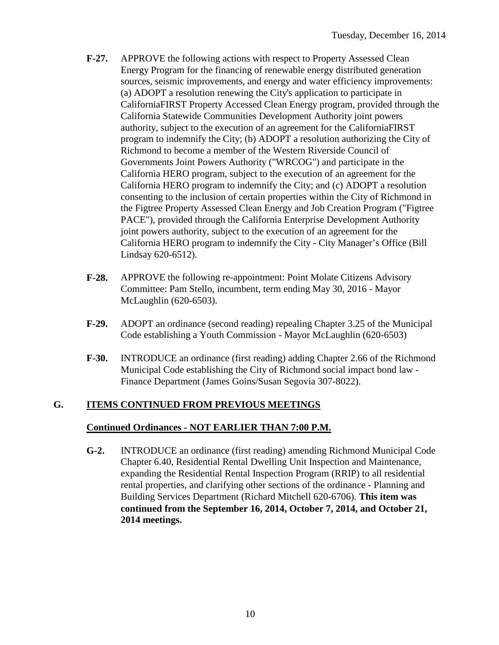- **F-27.** APPROVE the following actions with respect to Property Assessed Clean Energy Program for the financing of renewable energy distributed generation sources, seismic improvements, and energy and water efficiency improvements: (a) ADOPT a resolution renewing the City's application to participate in CaliforniaFIRST Property Accessed Clean Energy program, provided through the California Statewide Communities Development Authority joint powers authority, subject to the execution of an agreement for the CaliforniaFIRST program to indemnify the City; (b) ADOPT a resolution authorizing the City of Richmond to become a member of the Western Riverside Council of Governments Joint Powers Authority ("WRCOG") and participate in the California HERO program, subject to the execution of an agreement for the California HERO program to indemnify the City; and (c) ADOPT a resolution consenting to the inclusion of certain properties within the City of Richmond in the Figtree Property Assessed Clean Energy and Job Creation Program ("Figtree PACE"), provided through the California Enterprise Development Authority joint powers authority, subject to the execution of an agreement for the California HERO program to indemnify the City - City Manager's Office (Bill Lindsay 620-6512).
- **F-28.** APPROVE the following re-appointment: Point Molate Citizens Advisory Committee: Pam Stello, incumbent, term ending May 30, 2016 - Mayor McLaughlin (620-6503).
- **F-29.** ADOPT an ordinance (second reading) repealing Chapter 3.25 of the Municipal Code establishing a Youth Commission - Mayor McLaughlin (620-6503)
- **F-30.** INTRODUCE an ordinance (first reading) adding Chapter 2.66 of the Richmond Municipal Code establishing the City of Richmond social impact bond law - Finance Department (James Goins/Susan Segovia 307-8022).

### **G. ITEMS CONTINUED FROM PREVIOUS MEETINGS**

#### **Continued Ordinances - NOT EARLIER THAN 7:00 P.M.**

**G-2.** INTRODUCE an ordinance (first reading) amending Richmond Municipal Code Chapter 6.40, Residential Rental Dwelling Unit Inspection and Maintenance, expanding the Residential Rental Inspection Program (RRIP) to all residential rental properties, and clarifying other sections of the ordinance - Planning and Building Services Department (Richard Mitchell 620-6706). **This item was continued from the September 16, 2014, October 7, 2014, and October 21, 2014 meetings.**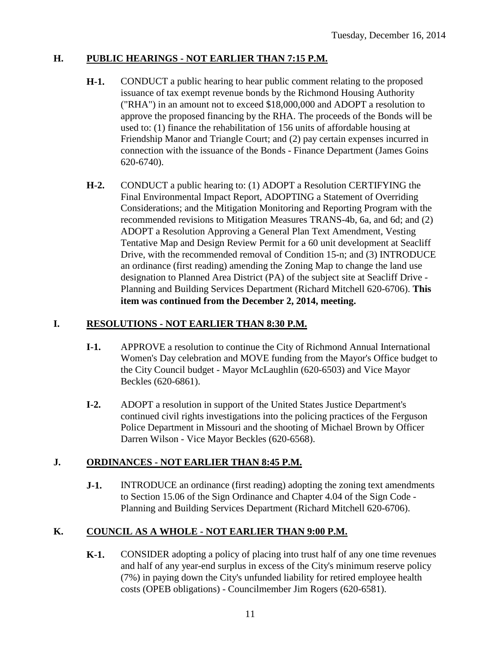# **H. PUBLIC HEARINGS - NOT EARLIER THAN 7:15 P.M.**

- **H-1.** CONDUCT a public hearing to hear public comment relating to the proposed issuance of tax exempt revenue bonds by the Richmond Housing Authority ("RHA") in an amount not to exceed \$18,000,000 and ADOPT a resolution to approve the proposed financing by the RHA. The proceeds of the Bonds will be used to: (1) finance the rehabilitation of 156 units of affordable housing at Friendship Manor and Triangle Court; and (2) pay certain expenses incurred in connection with the issuance of the Bonds - Finance Department (James Goins 620-6740).
- **H-2.** CONDUCT a public hearing to: (1) ADOPT a Resolution CERTIFYING the Final Environmental Impact Report, ADOPTING a Statement of Overriding Considerations; and the Mitigation Monitoring and Reporting Program with the recommended revisions to Mitigation Measures TRANS-4b, 6a, and 6d; and (2) ADOPT a Resolution Approving a General Plan Text Amendment, Vesting Tentative Map and Design Review Permit for a 60 unit development at Seacliff Drive, with the recommended removal of Condition 15-n; and (3) INTRODUCE an ordinance (first reading) amending the Zoning Map to change the land use designation to Planned Area District (PA) of the subject site at Seacliff Drive - Planning and Building Services Department (Richard Mitchell 620-6706). **This item was continued from the December 2, 2014, meeting.**

# **I. RESOLUTIONS - NOT EARLIER THAN 8:30 P.M.**

- **I-1.** APPROVE a resolution to continue the City of Richmond Annual International Women's Day celebration and MOVE funding from the Mayor's Office budget to the City Council budget - Mayor McLaughlin (620-6503) and Vice Mayor Beckles (620-6861).
- **I-2.** ADOPT a resolution in support of the United States Justice Department's continued civil rights investigations into the policing practices of the Ferguson Police Department in Missouri and the shooting of Michael Brown by Officer Darren Wilson - Vice Mayor Beckles (620-6568).

# **J. ORDINANCES - NOT EARLIER THAN 8:45 P.M.**

**J-1.** INTRODUCE an ordinance (first reading) adopting the zoning text amendments to Section 15.06 of the Sign Ordinance and Chapter 4.04 of the Sign Code - Planning and Building Services Department (Richard Mitchell 620-6706).

# **K. COUNCIL AS A WHOLE - NOT EARLIER THAN 9:00 P.M.**

**K-1.** CONSIDER adopting a policy of placing into trust half of any one time revenues and half of any year-end surplus in excess of the City's minimum reserve policy (7%) in paying down the City's unfunded liability for retired employee health costs (OPEB obligations) - Councilmember Jim Rogers (620-6581).